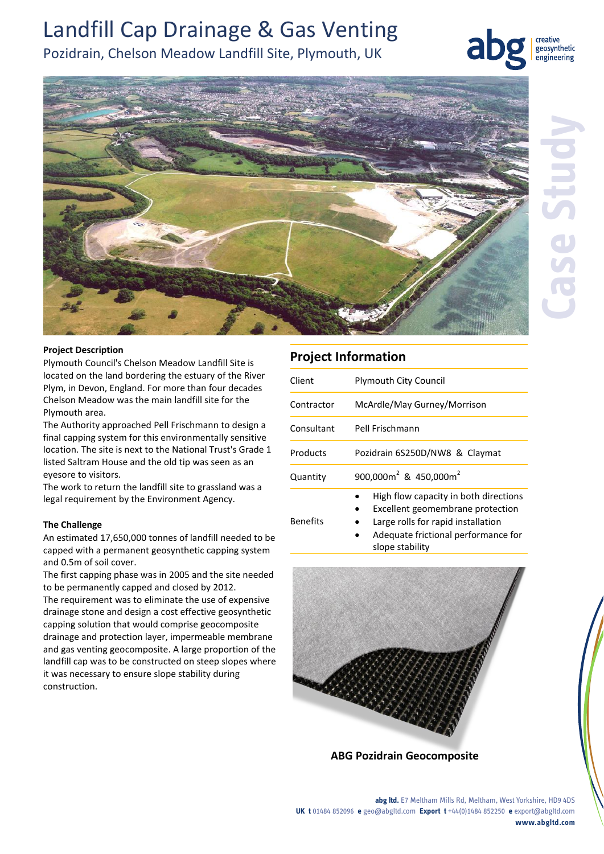# Landfill Cap Drainage & Gas Venting

# Pozidrain, Chelson Meadow Landfill Site, Plymouth, UK



creative geosynthetic engineering



## **Project Description**

Plymouth Council's Chelson Meadow Landfill Site is located on the land bordering the estuary of the River Plym, in Devon, England. For more than four decades Chelson Meadow was the main landfill site for the Plymouth area.

The Authority approached Pell Frischmann to design a final capping system for this environmentally sensitive location. The site is next to the National Trust's Grade 1 listed Saltram House and the old tip was seen as an eyesore to visitors.

The work to return the landfill site to grassland was a legal requirement by the Environment Agency.

## **The Challenge**

An estimated 17,650,000 tonnes of landfill needed to be capped with a permanent geosynthetic capping system and 0.5m of soil cover.

The first capping phase was in 2005 and the site needed to be permanently capped and closed by 2012.

The requirement was to eliminate the use of expensive drainage stone and design a cost effective geosynthetic capping solution that would comprise geocomposite drainage and protection layer, impermeable membrane and gas venting geocomposite. A large proportion of the landfill cap was to be constructed on steep slopes where it was necessary to ensure slope stability during construction.

# **Project Information**

| Client     | <b>Plymouth City Council</b>                                                                                         |
|------------|----------------------------------------------------------------------------------------------------------------------|
| Contractor | McArdle/May Gurney/Morrison                                                                                          |
| Consultant | Pell Frischmann                                                                                                      |
| Products   | Pozidrain 6S250D/NW8 & Claymat                                                                                       |
| Quantity   | 900,000 $m^2$ & 450,000 $m^2$                                                                                        |
| Benefits   | High flow capacity in both directions<br>Excellent geomembrane protection<br>٠<br>Large rolls for rapid installation |

- Large rolls for rapid installation
	- Adequate frictional performance for slope stability



**ABG Pozidrain Geocomposite**

**abg ltd.** E7 Meltham Mills Rd, Meltham, West Yorkshire, HD9 4DS **UK t** 01484 852096 **e** geo@abgltd.com **Export t** +44(0)1484 852250 **e** export@abgltd.com **www.abgltd.com**